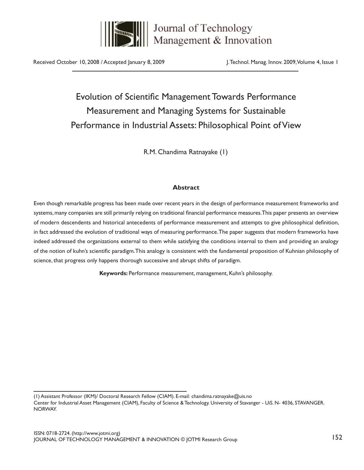

Journal of Technology<br>Management & Innovation

Received October 10, 2008 / Accepted January 8, 2009 J. Technol. Manag. Innov. 2009, Volume 4, Issue 1

# Evolution of Scientific Management Towards Performance Measurement and Managing Systems for Sustainable Performance in Industrial Assets: Philosophical Point of View

R.M. Chandima Ratnayake (1)

# **Abstract**

Even though remarkable progress has been made over recent years in the design of performance measurement frameworks and systems, many companies are still primarily relying on traditional financial performance measures. This paper presents an overview of modern descendents and historical antecedents of performance measurement and attempts to give philosophical definition, in fact addressed the evolution of traditional ways of measuring performance. The paper suggests that modern frameworks have indeed addressed the organizations external to them while satisfying the conditions internal to them and providing an analogy of the notion of kuhn's scientific paradigm. This analogy is consistent with the fundamental proposition of Kuhnian philosophy of science, that progress only happens thorough successive and abrupt shifts of paradigm.

**Keywords:** Performance measurement, management, Kuhn's philosophy.

(1) Assistant Professor (IKM)/ Doctoral Research Fellow (CIAM). E-mail: chandima.ratnayake@uis.no

Center for Industrial Asset Management (CIAM), Faculty of Science & Technology. University of Stavanger - UiS. N- 4036, STAVANGER. NORWAY.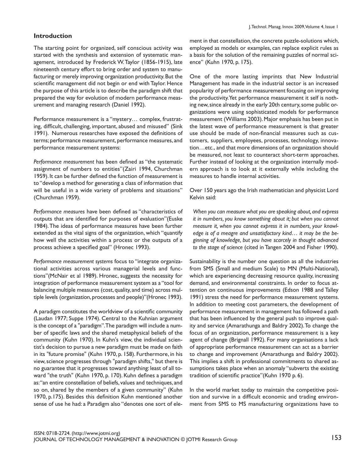#### **Introduction**

The starting point for organized, self conscious activity was started with the synthesis and extension of systematic management, introduced by Frederick W. Taylor (1856-1915), late nineteenth century effort to bring order and system to manufacturing or merely improving organization productivity. But the scientific management did not begin or end with Taylor. Hence the purpose of this article is to describe the paradigm shift that prepared the way for evolution of modern performance measurement and managing research (Daniel 1992).

Performance measurement is a "mystery… complex, frustrating, difficult, challenging, important, abused and misused" (Sink 1991). Numerous researches have exposed the definitions of terms; performance measurement, performance measures, and performance measurement systems:

*Performance measurement* has been defined as "the systematic assignment of numbers to entities"(Zairi 1994, Churchman 1959). It can be further defined the function of measurement is to "develop a method for generating a class of information that will be useful in a wide variety of problems and situations" (Churchman 1959).

*Performance measures* have been defined as "characteristics of outputs that are identified for purposes of evaluation"(Euske 1984). The ideas of performance measures have been further extended as the vital signs of the organization, which "quantify how well the activities within a process or the outputs of a process achieve a specified goal" (Hronec 1993).

*Performance measurement systems* focus to "integrate organizational activities across various managerial levels and functions"(McNair et al 1989). Hronec, suggests the necessity for integration of performance measurement system as a "tool for balancing multiple measures (cost, quality, and time) across multiple levels (organization, processes and people)"(Hronec 1993).

A paradigm constitutes the worldview of a scientific community (Laudan 1977; Suppe 1974). Central to the Kuhnian argument is the concept of a "paradigm". The paradigm will include a number of specific laws and the shared metaphysical beliefs of the community (Kuhn 1970). In Kuhn's view, the individual scientist's decision to pursue a new paradigm must be made on faith in its "future promise" (Kuhn 1970, p. 158). Furthermore, in his view, science progresses through "paradigm shifts," but there is no guarantee that it progresses toward anything: least of all toward "the truth" (Kuhn 1970, p. 170). Kuhn defines a paradigm as: "an entire constellation of beliefs, values and techniques, and so on, shared by the members of a given community" (Kuhn 1970, p.175). Besides this definition Kuhn mentioned another sense of use he had: a Paradigm also "denotes one sort of element in that constellation, the concrete puzzle-solutions which, employed as models or examples, can replace explicit rules as a basis for the solution of the remaining puzzles of normal science" (Kuhn 1970, p. 175).

One of the more lasting imprints that New Industrial Management has made in the industrial sector is an increased popularity of performance measurement focusing on improving the productivity. Yet performance measurement it self is nothing new, since already in the early 20th century, some public organizations were using sophisticated models for performance measurement (Williams 2003). Major emphasis has been put in the latest wave of performance measurement is that greater use should be made of non-financial measures such as customers, suppliers, employees, processes, technology, innovation…etc., and that more dimensions of an organization should be measured, not least to counteract short-term approaches. Further instead of looking at the organization internally modern approach is to look at it externally while including the measures to handle internal activities.

Over 150 years ago the Irish mathematician and physicist Lord Kelvin said:

*When you can measure what you are speaking about, and express it in numbers, you know something about it; but when you cannot measure it, when you cannot express it in numbers, your knowledge is of a meagre and unsatisfactory kind… it may be the beginning of knowledge, but you have scarcely in thought advanced to the stage of science* (cited in Tangen 2004 and Fisher 1990).

Sustainability is the number one question as all the industries from SMS (Small and medium Scale) to MN (Multi-National), which are experiencing decreasing resource quality, increasing demand, and environmental constraints. In order to focus attention on continuous improvements (Edson 1988 and Talley 1991) stress the need for performance measurement systems. In addition to meeting cost parameters, the development of performance measurement in management has followed a path that has been influenced by the general push to improve quality and service (Amarathunga and Baldry 2002). To change the focus of an organization, performance measurement is a key agent of change (Brignall 1992). For many organisations a lack of appropriate performance measurement can act as a barrier to change and improvement (Amarathunga and Baldry 2002). This implies a shift in professional commitments to shared assumptions takes place when an anomaly "subverts the existing tradition of scientific practice"(Kuhn 1970 p. 6).

In the world market today to maintain the competitive position and survive in a difficult economic and trading environment from SMS to MS manufacturing organizations have to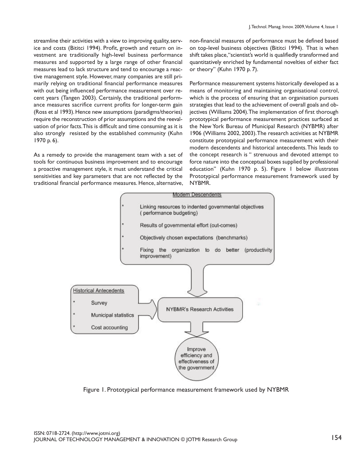streamline their activities with a view to improving quality, service and costs (Bititci 1994). Profit, growth and return on investment are traditionally high-level business performance measures and supported by a large range of other financial measures lead to lack structure and tend to encourage a reactive management style. However, many companies are still primarily relying on traditional financial performance measures with out being influenced performance measurement over recent years (Tangen 2003). Certainly, the traditional performance measures sacrifice current profits for longer-term gain (Ross et al 1993). Hence new assumptions (paradigms/theories) require the reconstruction of prior assumptions and the reevaluation of prior facts. This is difficult and time consuming as it is also strongly resisted by the established community (Kuhn 1970 p. 6).

As a remedy to provide the management team with a set of tools for continuous business improvement and to encourage a proactive management style, it must understand the critical sensitivities and key parameters that are not reflected by the traditional financial performance measures. Hence, alternative, non-financial measures of performance must be defined based on top-level business objectives (Bititci 1994). That is when shift takes place, "scientist's world is qualifiedly transformed and quantitatively enriched by fundamental novelties of either fact or theory" (Kuhn 1970 p. 7).

Performance measurement systems historically developed as a means of monitoring and maintaining organisational control, which is the process of ensuring that an organisation pursues strategies that lead to the achievement of overall goals and objectives (Williams 2004). The implementation of first thorough prototypical performance measurement practices surfaced at the New York Bureau of Municipal Research (NYBMR) after 1906 (Williams 2002, 2003). The research activities at NYBMR constitute prototypical performance measurement with their modern descendents and historical antecedents. This leads to the concept research is " strenuous and devoted attempt to force nature into the conceptual boxes supplied by professional education" (Kuhn 1970 p. 5). Figure 1 below illustrates Prototypical performance measurement framework used by NYBMR.



Figure 1. Prototypical performance measurement framework used by NYBMR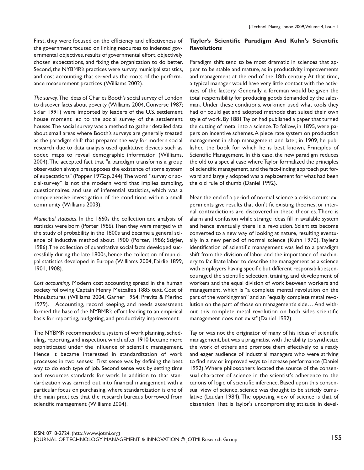First, they were focused on the efficiency and effectiveness of the government focused on linking resources to indented governmental objectives, results of governmental effort, objectively chosen expectations, and fixing the organization to do better. Second, the NYBMR's practices were survey, municipal statistics, and cost accounting that served as the roots of the performance measurement practices (Williams 2002).

*The survey.*The ideas of Charles Booth's social survey of London to discover facts about poverty (Williams 2004, Converse 1987; Sklar 1991) were imported by leaders of the U.S. settlement house moment led to the social survey of the settlement houses. The social survey was a method to gather detailed data about small areas where Booth's surveys are generally treated as the paradigm shift that prepared the way for modern social research due to data analysis used qualitative devices such as coded maps to reveal demographic information (Williams, 2004). The accepted fact that "a paradigm transforms a group observation always presupposes the existence of some system of expectations" (Popper 1972: p. 344). The word "survey or social-survey" is not the modern word that implies sampling, questionnaires, and use of inferential statistics, which was a comprehensive investigation of the conditions within a small community (Williams 2003).

*Municipal statistics*. In the 1660s the collection and analysis of statistics were born (Porter 1986). Then they were merged with the study of probability in the 1800s and became a general science of inductive method about 1900 (Porter, 1986; Stigler, 1986). The collection of quantitative social facts developed successfully during the late 1800s, hence the collection of municipal statistics developed in Europe (Williams 2004, Fairlie 1899, 1901, 1908).

*Cost accounting.* Modern cost accounting spread in the human society following Captain Henry Metcalfe's 1885 text, Cost of Manufactures (Williams 2004, Garner 1954; Previts & Merino 1979). Accounting, record keeping, and needs assessment formed the base of the NYBMR's effort leading to an empirical basis for reporting, budgeting, and productivity improvement.

The NYBMR recommended a system of work planning, scheduling, reporting, and inspection, which, after 1910 became more sophisticated under the influence of scientific management. Hence it became interested in standardization of work processes in two senses: First sense was by defining the best way to do each type of job. Second sense was by setting time and resources standards for work. In addition to that standardization was carried out into financial management with a particular focus on purchasing, where standardization is one of the main practices that the research bureaus borrowed from scientific management (Williams 2004).

#### **Tayler's Scientific Paradigm And Kuhn's Scientific Revolutions**

Paradigm shift tend to be most dramatic in sciences that appear to be stable and mature, as in productivity improvements and management at the end of the 18th century. At that time, a typical manager would have very little contact with the activities of the factory. Generally, a foreman would be given the total responsibility for producing goods demanded by the salesman. Under these conditions, workmen used what tools they had or could get and adopted methods that suited their own style of work. By 1881 Taylor had published a paper that turned the cutting of metal into a science. To follow, in 1895, were papers on incentive schemes. A piece rate system on production management in shop management, and later, in 1909, he published the book for which he is best known, Principles of Scientific Management. In this case, the new paradigm reduces the old to a special case where Taylor formalized the principles of scientific management, and the fact-finding approach put forward and largely adopted was a replacement for what had been the old rule of thumb (Daniel 1992).

Near the end of a period of normal science a crisis occurs: experiments give results that don't fit existing theories, or internal contradictions are discovered in these theories. There is alarm and confusion while strange ideas fill in available system and hence eventually there is a revolution. Scientists become converted to a new way of looking at nature, resulting eventually in a new period of normal science (Kuhn 1970). Tayler's identification of scientific management was led to a paradigm shift from the division of labor and the importance of machinery to facilitate labor to describe the management as a science with employers having specific but different responsibilities; encouraged the scientific selection, training, and development of workers and the equal division of work between workers and management, which is "a complete mental revolution on the part of the workingman" and an "equally complete metal revolution on the part of those on management's side… And without this complete metal revolution on both sides scientific management does not exist"(Daniel 1992).

Taylor was not the originator of many of his ideas of scientific management, but was a pragmatist with the ability to synthesize the work of others and promote them effectively to a ready and eager audience of industrial managers who were striving to find new or improved ways to increase performance (Daniel 1992). Where philosophers located the source of the consensual character of science in the scientist's adherence to the canons of logic of scientific inference. Based upon this consensual view of science, science was thought to be strictly cumulative (Laudan 1984). The opposing view of science is that of dissension. That is Taylor's uncompromising attitude in devel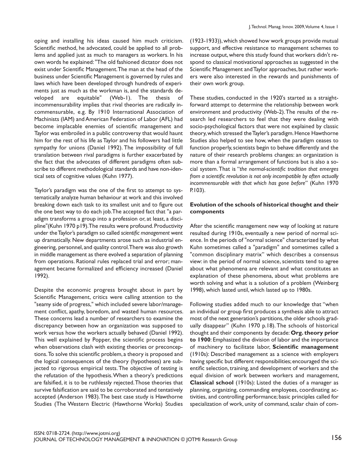oping and installing his ideas caused him much criticism. Scientific method, he advocated, could be applied to all problems and applied just as much to managers as workers. In his own words he explained: "The old fashioned dictator does not exist under Scientific Management. The man at the head of the business under Scientific Management is governed by rules and laws which have been developed through hundreds of experiments just as much as the workman is, and the standards developed are equitable" (Web-1). The thesis of incommensurability implies that rival theories are radically incommensurable, e.g. By 1910 International Association of Machinists (IAM) and American Federation of Labor (AFL) had become implacable enemies of scientific management and Taylor was embroiled in a public controversy that would haunt him for the rest of his life as Taylor and his followers had little sympathy for unions (Daniel 1992). The impossibility of full translation between rival paradigms is further exacerbated by the fact that the advocates of different paradigms often subscribe to different methodological standards and have non-identical sets of cognitive values (Kuhn 1977).

Taylor's paradigm was the one of the first to attempt to systematically analyze human behaviour at work and this involved breaking down each task to its smallest unit and to figure out the one best way to do each job. The accepted fact that "a paradigm transforms a group into a profession or, at least, a discipline"(Kuhn 1970 p19). The results were profound. Productivity under the Taylor's paradigm so called *scientific management* went up dramatically. New departments arose such as industrial engineering, personnel, and quality control. There was also growth in middle management as there evolved a separation of planning from operations. Rational rules replaced trial and error; management became formalized and efficiency increased (Daniel 1992).

Despite the economic progress brought about in part by Scientific Management, critics were calling attention to the "seamy side of progress," which included severe labor/management conflict, apathy, boredom, and wasted human resources. These concerns lead a number of researchers to examine the discrepancy between how an organization was supposed to work versus how the workers actually behaved (Daniel 1992). This well explained by Popper, the scientific process begins when observations clash with existing theories or preconceptions. To solve this scientific problem, a theory is proposed and the logical consequences of the theory (hypotheses) are subjected to rigorous empirical tests. The objective of testing is the refutation of the hypothesis. When a theory's predictions are falsified, it is to be ruthlessly rejected. Those theories that survive falsification are said to be corroborated and tentatively accepted (Anderson 1983). The best case study is Hawthorne Studies (The Western Electric (Hawthorne Works) Studies

(1923-1933)), which showed how work groups provide mutual support, and effective resistance to management schemes to increase output, where this study found that workers didn't respond to classical motivational approaches as suggested in the Scientific Management and Taylor approaches, but rather workers were also interested in the rewards and punishments of their own work group.

These studies, conducted in the 1920's started as a straightforward attempt to determine the relationship between work environment and productivity (Web-2). The results of the research led researchers to feel that they were dealing with socio-psychological factors that were not explained by classic theory, which stressed the Tayler's paradigm. Hence Hawthorne Studies also helped to see how, when the paradigm ceases to function properly, scientists begin to behave differently and the nature of their research problems changes: an organization is more than a formal arrangement of functions but is also a social system. That is "*the normal-scientific tradition that emerges from a scientific revolution is not only incompatible by often actually incommensurable with that which has gone before*" (Kuhn 1970 P.103).

### **Evolution of the schools of historical thought and their components**

After the scientific management new way of looking at nature resulted during 1910s, eventually a new period of normal science. In the periods of "normal science" characterized by what Kuhn sometimes called a "paradigm" and sometimes called a "common disciplinary matrix" which describes a consensus view: in the period of normal science, scientists tend to agree about what phenomena are relevant and what constitutes an explanation of these phenomena, about what problems are worth solving and what is a solution of a problem (Weinberg 1998), which lasted until, which lasted up to 1980s.

Following studies added much to our knowledge that "when an individual or group first produces a synthesis able to attract most of the next generation's partitions, the older schools gradually disappear" (Kuhn 1970 p.18). The schools of historical thought and their components by decade: **Org. theory prior to 1900**: Emphasized the division of labor and the importance of machinery to facilitate labor, **Scientific management** (1910s): Described management as a science with employers having specific but different responsibilities; encouraged the scientific selection, training, and development of workers and the equal division of work between workers and management, **Classical school** (1910s): Listed the duties of a manager as planning, organizing, commanding employees, coordinating activities, and controlling performance; basic principles called for specialization of work, unity of command, scalar chain of com-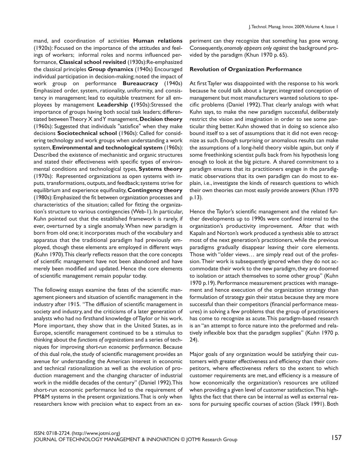mand, and coordination of activities **Human relations** (1920s): Focused on the importance of the attitudes and feelings of workers; informal roles and norms influenced performance, **Classical school revisited** (1930s):Re-emphasized the classical principles **Group dynamics** (1940s) Encouraged individual participation in decision-making; noted the impact of work group on performance **Bureaucracy** (1940s) Emphasized order, system, rationality, uniformity, and consistency in management; lead to equitable treatment for all employees by management **Leadership (**1950s):Stressed the importance of groups having both social task leaders; differentiated between Theory X and Y management, **Decision theory** (1960s): Suggested that individuals "satisfice" when they make decisions **Sociotechnical school** (1960s): Called for considering technology and work groups when understanding a work system, **Environmental and technological system** (1960s): Described the existence of mechanistic and organic structures and stated their effectiveness with specific types of environmental conditions and technological types, **Systems theory** (1970s): Represented organizations as open systems with inputs, transformations, outputs, and feedback; systems strive for equilibrium and experience equifinality, **Contingency theory** (1980s): Emphasized the fit between organization processes and characteristics of the situation; called for fitting the organization's structure to various contingencies (Web-1). In particular, Kuhn pointed out that the established framework is rarely, if ever, overturned by a single anomaly. When new paradigm is born from old one; it incorporates much of the vocabulary and apparatus that the traditional paradigm had previously employed, though these elements are employed in different ways (Kuhn 1970). This clearly reflects reason that the core concepts of scientific management have not been abandoned and have merely been modified and updated. Hence the core elements of scientific management remain popular today.

The following essays examine the fates of the scientific management pioneers and situation of scientific management in the industry after 1915. "The diffusion of scientific management in society and industry, and the criticisms of a later generation of analysts who had no firsthand knowledge of Taylor or his work. More important, they show that in the United States, as in Europe, scientific management continued to be a stimulus to thinking about the *functions of organizations* and a series of techniques for improving *short-run economic performance*. Because of this dual role, the study of scientific management provides an avenue for understanding the American interest in economic and technical rationalization as well as the evolution of production management and the changing character of industrial work in the middle decades of the century" (Daniel 1992). This short-run economic performance led to the requirement of PM&M systems in the present organizations. That is only when researchers know with precision what to expect from an experiment can they recognize that something has gone wrong. Consequently, *anomaly appears only against* the background provided by the paradigm (Khun 1970 p. 65).

#### **Revolution of Organization Performance**

At first Tayler was disappointed with the response to his work because he could talk about a larger, integrated conception of management but most manufacturers wanted solutions to specific problems (Daniel 1992). That clearly analogs with what Kuhn says, to make the new paradigm successful, deliberately restrict the vision and imagination in order to see some particular thing better. Kuhn showed that in doing so science also bound itself to a set of assumptions that it did not even recognize as such. Enough surprising or anomalous results can make the assumptions of a long-held theory visible again, but only if some freethinking scientist pulls back from his hypothesis long enough to look at the big picture. A shared commitment to a paradigm ensures that its practitioners engage in the paradigmatic observations that its own paradigm can do most to explain, i.e., investigate the kinds of research questions to which their own theories can most easily provide answers (Khun 1970 p.13).

Hence the Taylor's scientific management and the related further developments up to 1990s were confined internal to the organization's productivity improvement. After that with Kapaln and Norton's work produced a synthesis able to attract most of the next generation's practitioners, while the previous paradigms gradually disappear leaving their core elements. Those with "older views… are simply read out of the profession. Their work is subsequently ignored when they do not accommodate their work to the new paradigm, they are doomed to isolation or attach themselves to some other group" (Kuhn 1970 p.19). Performance measurement practices with management and hence execution of the organization strategy than formulation of strategy gain their status because they are more successful than their competitors (financial performance measures) in solving a few problems that the group of practitioners has come to recognize as acute. This paradigm-based research is an "an attempt to force nature into the preformed and relatively inflexible box that the paradigm supplies" (Kuhn 1970 p. 24).

Major goals of any organization would be satisfying their customers with greater effectiveness and efficiency than their competitors, where effectiveness refers to the extent to which customer requirements are met, and efficiency is a measure of how economically the organization's resources are utilized when providing a given level of customer satisfaction. This highlights the fact that there can be internal as well as external reasons for pursuing specific courses of action (Slack 1991). Both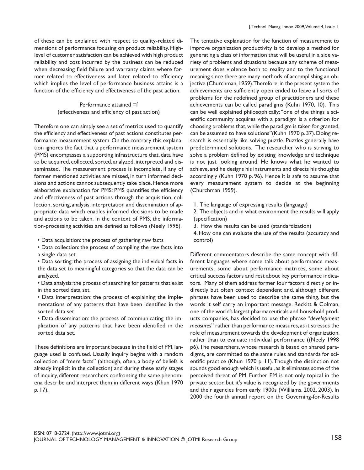of these can be explained with respect to quality-related dimensions of performance focusing on product reliability. Highlevel of customer satisfaction can be achieved with high product reliability and cost incurred by the business can be reduced when decreasing field failure and warranty claims where former related to effectiveness and later related to efficiency which implies the level of performance business attains is a function of the efficiency and effectiveness of the past action.

#### Performance attained =f (effectiveness and efficiency of past action)

Therefore one can simply see a set of metrics used to quantify the efficiency and effectiveness of past actions constitutes performance measurement system. On the contrary this explanation ignores the fact that a performance measurement system (PMS) encompasses a supporting infrastructure that, data have to be acquired, collected, sorted, analyzed, interpreted and disseminated. The measurement process is incomplete, if any of former mentioned activities are missed, in turn informed decisions and actions cannot subsequently take place. Hence more elaborative explanation for PMS: PMS quantifies the efficiency and effectiveness of past actions through the acquisition, collection, sorting, analysis, interpretation and dissemination of appropriate data which enables informed decisions to be made and actions to be taken. In the context of PMS, the information-processing activities are defined as follows (Neely 1998).

• Data acquisition: the process of gathering raw facts

• Data collection: the process of compiling the raw facts into a single data set.

• Data sorting: the process of assigning the individual facts in the data set to meaningful categories so that the data can be analyzed.

• Data analysis: the process of searching for patterns that exist in the sorted data set.

• Data interpretation: the process of explaining the implementations of any patterns that have been identified in the sorted data set.

• Data dissemination: the process of communicating the implication of any patterns that have been identified in the sorted data set.

These definitions are important because in the field of PM, language used is confused. Usually inquiry begins with a random collection of "mere facts" (although, often, a body of beliefs is already implicit in the collection) and during these early stages of inquiry, different researchers confronting the same phenomena describe and interpret them in different ways (Khun 1970 p. 17).

The tentative explanation for the function of measurement to improve organization productivity is to develop a method for generating a class of information that will be useful in a side variety of problems and situations because any scheme of measurement does violence both to reality and to the functional meaning since there are many methods of accomplishing an objective (Churchman, 1959). Therefore, in the present system the achievements are sufficiently open ended to leave all sorts of problems for the redefined group of practitioners and these achievements can be called paradigms (Kuhn 1970, 10). This can be well explained philosophically: "one of the things a scientific community acquires with a paradigm is a criterion for choosing problems that, while the paradigm is taken for granted, can be assumed to have solutions"(Kuhn 1970 p. 37). Doing research is essentially like solving puzzle. Puzzles generally have predetermined solutions. The researcher who is striving to solve a problem defined by existing knowledge and technique is not just looking around. He knows what he wanted to achieve, and he designs his instruments and directs his thoughts accordingly (Kuhn 1970 p. 96). Hence it is safe to assume that every measurement system to decide at the beginning (Churchman 1959).

1. The language of expressing results (language)

2. The objects and in what environment the results will apply (specification)

3. How the results can be used (standardization)

4. How one can evaluate the use of the results (accuracy and control)

Different commentators describe the same concept with different languages where some talk about performance measurements, some about performance matrices, some about critical success factors and rest about key performance indicators. Many of them address former four factors directly or indirectly but often context dependent and, although different phrases have been used to describe the same thing, but the words it self carry an important message. Reckitt & Colman, one of the world's largest pharmaceuticals and household products companies, has decided to use the phrase "*development measures*" rather than performance measures, as it stresses the role of measurement towards the development of organization, rather than to evaluate individual performance ((Neely 1998 p6). The researchers, whose research is based on shared paradigms, are committed to the same rules and standards for scientific practice (Khun 1970 p. 11). Though the distinction not sounds good enough which is useful, as it eliminates some of the perceived threat of PM. Further PM is not only topical in the private sector, but it's value is recognized by the governments and their agencies from early 1900s (Williams, 2002, 2003). In 2000 the fourth annual report on the Governing-for-Results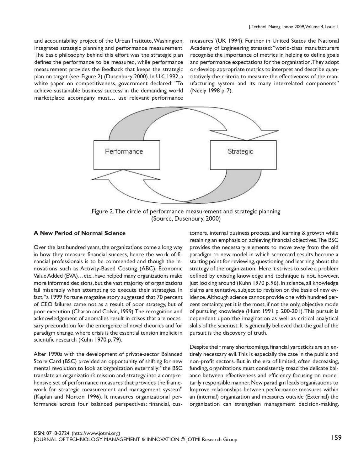and accountability project of the Urban Institute, Washington, integrates strategic planning and performance measurement. The basic philosophy behind this effort was the strategic plan defines the performance to be measured, while performance measurement provides the feedback that keeps the strategic plan on target (see, Figure 2) (Dusenbury 2000). In UK, 1992, a white paper on competitiveness, government declared: "To achieve sustainable business success in the demanding world marketplace, accompany must… use relevant performance

measures"(UK 1994). Further in United States the National Academy of Engineering stressed: "world-class manufacturers recognise the importance of metrics in helping to define goals and performance expectations for the organisation. They adopt or develop appropriate metrics to interpret and describe quantitatively the criteria to measure the effectiveness of the manufacturing system and its many interrelated components" (Neely 1998 p. 7).



Figure 2. The circle of performance measurement and strategic planning (Source, Dusenbury, 2000)

#### **A New Period of Normal Science**

Over the last hundred years, the organizations come a long way in how they measure financial success, hence the work of financial professionals is to be commended and though the innovations such as Activity-Based Costing (ABC), Economic Value Added (EVA)…etc., have helped many organizations make more informed decisions, but the vast majority of organizations fail miserably when attempting to execute their strategies. In fact, "a 1999 Fortune magazine story suggested that 70 percent of CEO failures came not as a result of poor strategy, but of poor execution (Charan and Colvin, 1999). The recognition and acknowledgement of anomalies result in crises that are necessary precondition for the emergence of novel theories and for paradigm change, where crisis is the essential tension implicit in scientific research (Kuhn 1970 p. 79).

After 1990s with the development of private-sector Balanced Score Card (BSC) provided an opportunity of shifting for new mental revolution to look at organization externally: "the BSC translate an organization's mission and strategy into a comprehensive set of performance measures that provides the framework for strategic measurement and management system" (Kaplan and Norton 1996). It measures organizational performance across four balanced perspectives: financial, customers, internal business process, and learning & growth while retaining an emphasis on achieving financial objectives. The BSC provides the necessary elements to move away from the old paradigm to new model in which scorecard results become a starting point for reviewing, questioning, and learning about the strategy of the organization. Here it strives to solve a problem defined by existing knowledge and technique is not, however, just looking around (Kuhn 1970 p. 96). In science, all knowledge claims are tentative, subject to revision on the basis of new evidence. Although science cannot provide one with hundred percent certainty, yet it is the most, if not the only, objective mode of pursuing knowledge (Hunt 1991 p. 200-201). This pursuit is dependent upon the imagination as well as critical analytical skills of the scientist. It is generally believed that the goal of the pursuit is the discovery of truth.

Despite their many shortcomings, financial yardsticks are an entirely necessary evil. This is especially the case in the public and non-profit sectors. But in the era of limited, often decreasing, funding, organizations must consistently tread the delicate balance between effectiveness and efficiency focusing on monetarily responsible manner. New paradigm leads organisations to Improve relationships between performance measures within an (internal) organization and measures outside (External) the organization can strengthen management decision-making.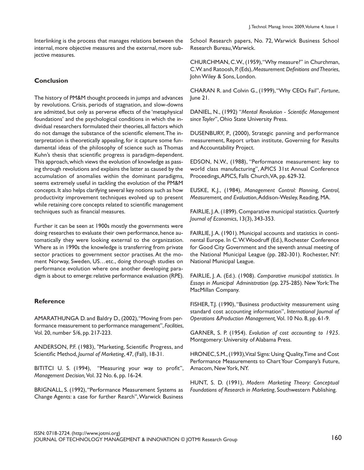Interlinking is the process that manages relations between the internal, more objective measures and the external, more subjective measures.

## **Conclusion**

The history of PM&M thought proceeds in jumps and advances by revolutions. Crisis, periods of stagnation, and slow-downs are admitted, but only as perverse effects of the 'metaphysical foundations' and the psychological conditions in which the individual researchers formulated their theories, all factors which do not damage the substance of the scientific element. The interpretation is theoretically appealing, for it capture some fundamental ideas of the philosophy of science such as Thomas Kuhn's thesis that scientific progress is paradigm-dependent. This approach, which views the evolution of knowledge as passing through revolutions and explains the latter as caused by the accumulation of anomalies within the dominant paradigms, seems extremely useful in tackling the evolution of the PM&M concepts. It also helps clarifying several key notions such as how productivity improvement techniques evolved up to present while retaining core concepts related to scientific management techniques such as financial measures.

Further it can be seen at 1900s mostly the governments were doing researches to evaluate their own performance, hence automatically they were looking external to the organization. Where as in 1990s the knowledge is transferring from private sector practices to government sector practises. At the moment Norway, Sweden, US…etc., doing thorough studies on performance evolution where one another developing paradigm is about to emerge: relative performance evaluation (RPE).

#### **Reference**

AMARATHUNGA D. and Baldry D., (2002), "Moving from performance measurement to performance management", *Facilities*, Vol. 20, number 5/6, pp. 217-223.

ANDERSON, P.F. (1983), "Marketing, Scientific Progress, and Scientific Method, *Journal of Marketing*, 47, (Fall), 18-31.

BITITCI U. S. (1994), "Measuring your way to profit", *Management Decision, Vol. 32 No. 6, pp. 16-24.* 

BRIGNALL, S. (1992), "Performance Measurement Systems as Change Agents: a case for further Rearch", Warwick Business School Research papers, No. 72, Warwick Business School Research Bureau, Warwick.

CHURCHMAN, C.W., (1959), "Why measure?" in Churchman, C.W. and Ratoosh, P. (Eds), *Measurement: Definitions and Theories*, John Wiley & Sons, London.

CHARAN R. and Colvin G., (1999), "Why CEOs Fail", *Fortune*, June 21.

DANIEL, N., (1992) "*Mental Revolution - Scientific Management since Tayler*", Ohio State University Press.

DUSENBURY, P., (2000), Strategic panning and performance measurement, Report urban institute, Governing for Results and Accountability Project.

EDSON, N.W., (1988), "Performance measurement: key to world class manufacturing", APICS 31st Annual Conference Proceedings, APICS, Falls Church, VA, pp. 629-32.

EUSKE, K.J., (1984), *Management Control: Planning, Control, Measurement, and Evaluation*, Addison-Wesley, Reading, MA.

FAIRLIE, J. A. (1899). Comparative municipal statistics. *Quarterly Journal of Economics*, 13(3), 343-353.

FAIRLIE, J. A. (1901). Municipal accounts and statistics in continental Europe. In C. W. Woodruff (Ed.), Rochester Conference for Good City Government and the seventh annual meeting of the National Municipal League (pp. 282-301). Rochester, NY: National Municipal League.

FAIRLIE, J. A. (Ed.). (1908). *Comparative municipal statistics. In Essays in Municipal Administration* (pp. 275-285). New York: The MacMillan Company.

FISHER, T.J. (1990), "Business productivity measurement using standard cost accounting information", *International Journal of Operations &Production Management,*Vol. 10 No. 8, pp. 61-9.

GARNER, S. P. (1954). *Evolution of cost accounting to 1925*. Montgomery: University of Alabama Press.

HRONEC, S.M., (1993), Vital Signs: Using Quality, Time and Cost Performance Measurements to Chart Your Company's Future, Amacom, New York, NY.

HUNT, S. D. (1991), *Modern Marketing Theory: Conceptual Foundations of Research in Marketing*, Southwestern Publishing.